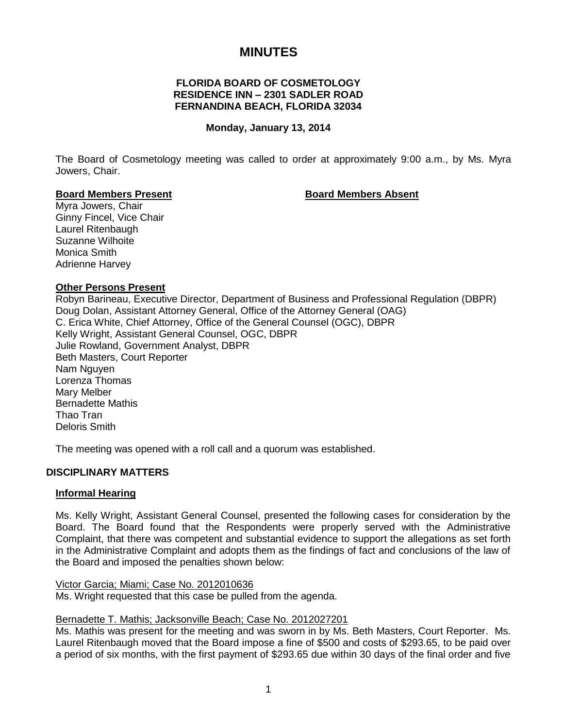# **MINUTES**

## **FLORIDA BOARD OF COSMETOLOGY RESIDENCE INN – 2301 SADLER ROAD FERNANDINA BEACH, FLORIDA 32034**

#### **Monday, January 13, 2014**

The Board of Cosmetology meeting was called to order at approximately 9:00 a.m., by Ms. Myra Jowers, Chair.

#### **Board Members Present Board Members Absent**

Myra Jowers, Chair Ginny Fincel, Vice Chair Laurel Ritenbaugh Suzanne Wilhoite Monica Smith Adrienne Harvey

#### **Other Persons Present**

Robyn Barineau, Executive Director, Department of Business and Professional Regulation (DBPR) Doug Dolan, Assistant Attorney General, Office of the Attorney General (OAG) C. Erica White, Chief Attorney, Office of the General Counsel (OGC), DBPR Kelly Wright, Assistant General Counsel, OGC, DBPR Julie Rowland, Government Analyst, DBPR Beth Masters, Court Reporter Nam Nguyen Lorenza Thomas Mary Melber Bernadette Mathis Thao Tran Deloris Smith

The meeting was opened with a roll call and a quorum was established.

## **DISCIPLINARY MATTERS**

#### **Informal Hearing**

Ms. Kelly Wright, Assistant General Counsel, presented the following cases for consideration by the Board. The Board found that the Respondents were properly served with the Administrative Complaint, that there was competent and substantial evidence to support the allegations as set forth in the Administrative Complaint and adopts them as the findings of fact and conclusions of the law of the Board and imposed the penalties shown below:

#### Victor Garcia; Miami; Case No. 2012010636

Ms. Wright requested that this case be pulled from the agenda.

#### Bernadette T. Mathis; Jacksonville Beach; Case No. 2012027201

Ms. Mathis was present for the meeting and was sworn in by Ms. Beth Masters, Court Reporter. Ms. Laurel Ritenbaugh moved that the Board impose a fine of \$500 and costs of \$293.65, to be paid over a period of six months, with the first payment of \$293.65 due within 30 days of the final order and five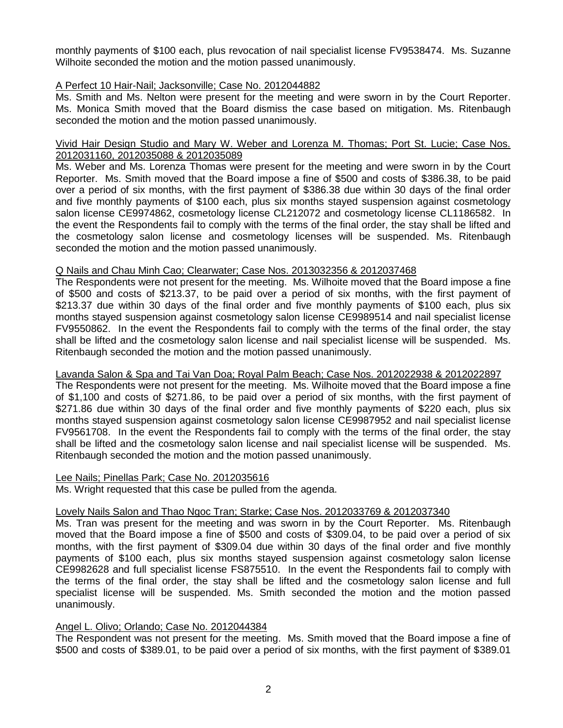monthly payments of \$100 each, plus revocation of nail specialist license FV9538474. Ms. Suzanne Wilhoite seconded the motion and the motion passed unanimously.

## A Perfect 10 Hair-Nail; Jacksonville; Case No. 2012044882

Ms. Smith and Ms. Nelton were present for the meeting and were sworn in by the Court Reporter. Ms. Monica Smith moved that the Board dismiss the case based on mitigation. Ms. Ritenbaugh seconded the motion and the motion passed unanimously.

#### Vivid Hair Design Studio and Mary W. Weber and Lorenza M. Thomas; Port St. Lucie; Case Nos. 2012031160, 2012035088 & 2012035089

Ms. Weber and Ms. Lorenza Thomas were present for the meeting and were sworn in by the Court Reporter. Ms. Smith moved that the Board impose a fine of \$500 and costs of \$386.38, to be paid over a period of six months, with the first payment of \$386.38 due within 30 days of the final order and five monthly payments of \$100 each, plus six months stayed suspension against cosmetology salon license CE9974862, cosmetology license CL212072 and cosmetology license CL1186582. In the event the Respondents fail to comply with the terms of the final order, the stay shall be lifted and the cosmetology salon license and cosmetology licenses will be suspended. Ms. Ritenbaugh seconded the motion and the motion passed unanimously.

## Q Nails and Chau Minh Cao; Clearwater; Case Nos. 2013032356 & 2012037468

The Respondents were not present for the meeting. Ms. Wilhoite moved that the Board impose a fine of \$500 and costs of \$213.37, to be paid over a period of six months, with the first payment of \$213.37 due within 30 days of the final order and five monthly payments of \$100 each, plus six months stayed suspension against cosmetology salon license CE9989514 and nail specialist license FV9550862. In the event the Respondents fail to comply with the terms of the final order, the stay shall be lifted and the cosmetology salon license and nail specialist license will be suspended. Ms. Ritenbaugh seconded the motion and the motion passed unanimously.

#### Lavanda Salon & Spa and Tai Van Doa; Royal Palm Beach; Case Nos. 2012022938 & 2012022897

The Respondents were not present for the meeting. Ms. Wilhoite moved that the Board impose a fine of \$1,100 and costs of \$271.86, to be paid over a period of six months, with the first payment of \$271.86 due within 30 days of the final order and five monthly payments of \$220 each, plus six months stayed suspension against cosmetology salon license CE9987952 and nail specialist license FV9561708. In the event the Respondents fail to comply with the terms of the final order, the stay shall be lifted and the cosmetology salon license and nail specialist license will be suspended. Ms. Ritenbaugh seconded the motion and the motion passed unanimously.

#### Lee Nails; Pinellas Park; Case No. 2012035616

Ms. Wright requested that this case be pulled from the agenda.

#### Lovely Nails Salon and Thao Ngoc Tran; Starke; Case Nos. 2012033769 & 2012037340

Ms. Tran was present for the meeting and was sworn in by the Court Reporter. Ms. Ritenbaugh moved that the Board impose a fine of \$500 and costs of \$309.04, to be paid over a period of six months, with the first payment of \$309.04 due within 30 days of the final order and five monthly payments of \$100 each, plus six months stayed suspension against cosmetology salon license CE9982628 and full specialist license FS875510. In the event the Respondents fail to comply with the terms of the final order, the stay shall be lifted and the cosmetology salon license and full specialist license will be suspended. Ms. Smith seconded the motion and the motion passed unanimously.

#### Angel L. Olivo; Orlando; Case No. 2012044384

The Respondent was not present for the meeting. Ms. Smith moved that the Board impose a fine of \$500 and costs of \$389.01, to be paid over a period of six months, with the first payment of \$389.01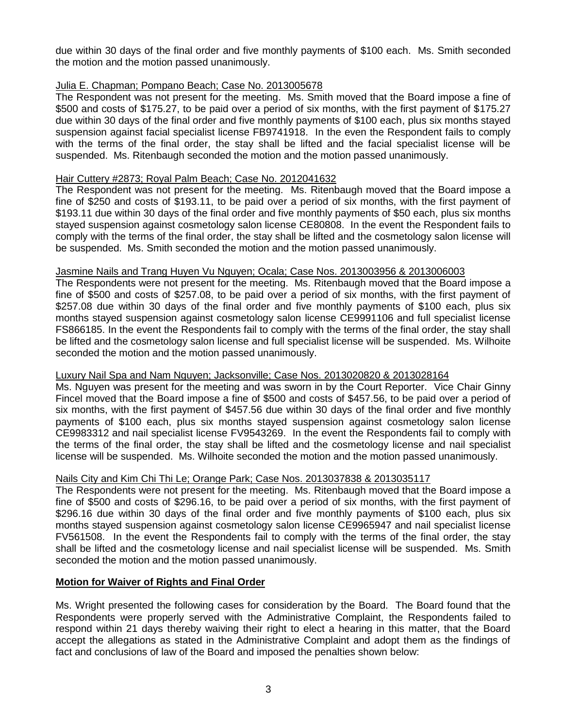due within 30 days of the final order and five monthly payments of \$100 each. Ms. Smith seconded the motion and the motion passed unanimously.

### Julia E. Chapman; Pompano Beach; Case No. 2013005678

The Respondent was not present for the meeting. Ms. Smith moved that the Board impose a fine of \$500 and costs of \$175.27, to be paid over a period of six months, with the first payment of \$175.27 due within 30 days of the final order and five monthly payments of \$100 each, plus six months stayed suspension against facial specialist license FB9741918. In the even the Respondent fails to comply with the terms of the final order, the stay shall be lifted and the facial specialist license will be suspended. Ms. Ritenbaugh seconded the motion and the motion passed unanimously.

#### Hair Cuttery #2873; Royal Palm Beach; Case No. 2012041632

The Respondent was not present for the meeting. Ms. Ritenbaugh moved that the Board impose a fine of \$250 and costs of \$193.11, to be paid over a period of six months, with the first payment of \$193.11 due within 30 days of the final order and five monthly payments of \$50 each, plus six months stayed suspension against cosmetology salon license CE80808. In the event the Respondent fails to comply with the terms of the final order, the stay shall be lifted and the cosmetology salon license will be suspended. Ms. Smith seconded the motion and the motion passed unanimously.

## Jasmine Nails and Trang Huyen Vu Nguyen; Ocala; Case Nos. 2013003956 & 2013006003

The Respondents were not present for the meeting. Ms. Ritenbaugh moved that the Board impose a fine of \$500 and costs of \$257.08, to be paid over a period of six months, with the first payment of \$257.08 due within 30 days of the final order and five monthly payments of \$100 each, plus six months stayed suspension against cosmetology salon license CE9991106 and full specialist license FS866185. In the event the Respondents fail to comply with the terms of the final order, the stay shall be lifted and the cosmetology salon license and full specialist license will be suspended. Ms. Wilhoite seconded the motion and the motion passed unanimously.

## Luxury Nail Spa and Nam Nguyen; Jacksonville; Case Nos. 2013020820 & 2013028164

Ms. Nguyen was present for the meeting and was sworn in by the Court Reporter. Vice Chair Ginny Fincel moved that the Board impose a fine of \$500 and costs of \$457.56, to be paid over a period of six months, with the first payment of \$457.56 due within 30 days of the final order and five monthly payments of \$100 each, plus six months stayed suspension against cosmetology salon license CE9983312 and nail specialist license FV9543269. In the event the Respondents fail to comply with the terms of the final order, the stay shall be lifted and the cosmetology license and nail specialist license will be suspended. Ms. Wilhoite seconded the motion and the motion passed unanimously.

## Nails City and Kim Chi Thi Le; Orange Park; Case Nos. 2013037838 & 2013035117

The Respondents were not present for the meeting. Ms. Ritenbaugh moved that the Board impose a fine of \$500 and costs of \$296.16, to be paid over a period of six months, with the first payment of \$296.16 due within 30 days of the final order and five monthly payments of \$100 each, plus six months stayed suspension against cosmetology salon license CE9965947 and nail specialist license FV561508. In the event the Respondents fail to comply with the terms of the final order, the stay shall be lifted and the cosmetology license and nail specialist license will be suspended. Ms. Smith seconded the motion and the motion passed unanimously.

#### **Motion for Waiver of Rights and Final Order**

Ms. Wright presented the following cases for consideration by the Board. The Board found that the Respondents were properly served with the Administrative Complaint, the Respondents failed to respond within 21 days thereby waiving their right to elect a hearing in this matter, that the Board accept the allegations as stated in the Administrative Complaint and adopt them as the findings of fact and conclusions of law of the Board and imposed the penalties shown below: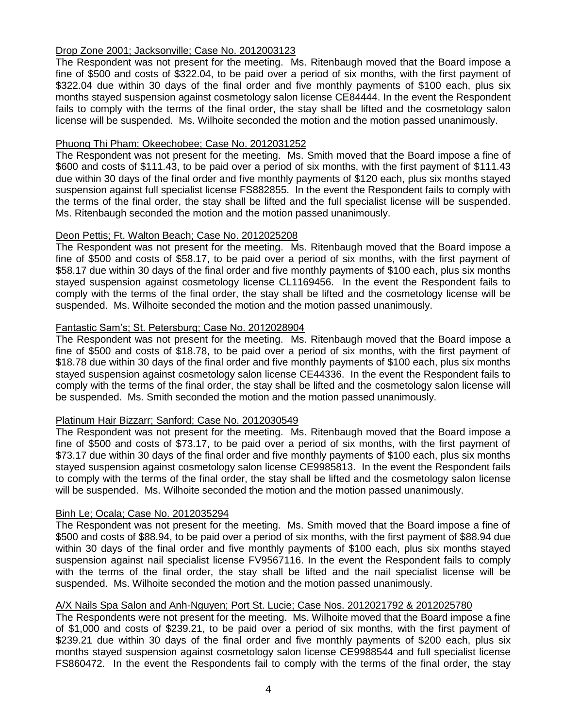## Drop Zone 2001; Jacksonville; Case No. 2012003123

The Respondent was not present for the meeting. Ms. Ritenbaugh moved that the Board impose a fine of \$500 and costs of \$322.04, to be paid over a period of six months, with the first payment of \$322.04 due within 30 days of the final order and five monthly payments of \$100 each, plus six months stayed suspension against cosmetology salon license CE84444. In the event the Respondent fails to comply with the terms of the final order, the stay shall be lifted and the cosmetology salon license will be suspended. Ms. Wilhoite seconded the motion and the motion passed unanimously.

#### Phuong Thi Pham; Okeechobee; Case No. 2012031252

The Respondent was not present for the meeting. Ms. Smith moved that the Board impose a fine of \$600 and costs of \$111.43, to be paid over a period of six months, with the first payment of \$111.43 due within 30 days of the final order and five monthly payments of \$120 each, plus six months stayed suspension against full specialist license FS882855. In the event the Respondent fails to comply with the terms of the final order, the stay shall be lifted and the full specialist license will be suspended. Ms. Ritenbaugh seconded the motion and the motion passed unanimously.

## Deon Pettis; Ft. Walton Beach; Case No. 2012025208

The Respondent was not present for the meeting. Ms. Ritenbaugh moved that the Board impose a fine of \$500 and costs of \$58.17, to be paid over a period of six months, with the first payment of \$58.17 due within 30 days of the final order and five monthly payments of \$100 each, plus six months stayed suspension against cosmetology license CL1169456. In the event the Respondent fails to comply with the terms of the final order, the stay shall be lifted and the cosmetology license will be suspended. Ms. Wilhoite seconded the motion and the motion passed unanimously.

## Fantastic Sam's; St. Petersburg; Case No. 2012028904

The Respondent was not present for the meeting. Ms. Ritenbaugh moved that the Board impose a fine of \$500 and costs of \$18.78, to be paid over a period of six months, with the first payment of \$18.78 due within 30 days of the final order and five monthly payments of \$100 each, plus six months stayed suspension against cosmetology salon license CE44336. In the event the Respondent fails to comply with the terms of the final order, the stay shall be lifted and the cosmetology salon license will be suspended. Ms. Smith seconded the motion and the motion passed unanimously.

#### Platinum Hair Bizzarr; Sanford; Case No. 2012030549

The Respondent was not present for the meeting. Ms. Ritenbaugh moved that the Board impose a fine of \$500 and costs of \$73.17, to be paid over a period of six months, with the first payment of \$73.17 due within 30 days of the final order and five monthly payments of \$100 each, plus six months stayed suspension against cosmetology salon license CE9985813. In the event the Respondent fails to comply with the terms of the final order, the stay shall be lifted and the cosmetology salon license will be suspended. Ms. Wilhoite seconded the motion and the motion passed unanimously.

#### Binh Le; Ocala; Case No. 2012035294

The Respondent was not present for the meeting. Ms. Smith moved that the Board impose a fine of \$500 and costs of \$88.94, to be paid over a period of six months, with the first payment of \$88.94 due within 30 days of the final order and five monthly payments of \$100 each, plus six months stayed suspension against nail specialist license FV9567116. In the event the Respondent fails to comply with the terms of the final order, the stay shall be lifted and the nail specialist license will be suspended. Ms. Wilhoite seconded the motion and the motion passed unanimously.

#### A/X Nails Spa Salon and Anh-Nguyen; Port St. Lucie; Case Nos. 2012021792 & 2012025780

The Respondents were not present for the meeting. Ms. Wilhoite moved that the Board impose a fine of \$1,000 and costs of \$239.21, to be paid over a period of six months, with the first payment of \$239.21 due within 30 days of the final order and five monthly payments of \$200 each, plus six months stayed suspension against cosmetology salon license CE9988544 and full specialist license FS860472. In the event the Respondents fail to comply with the terms of the final order, the stay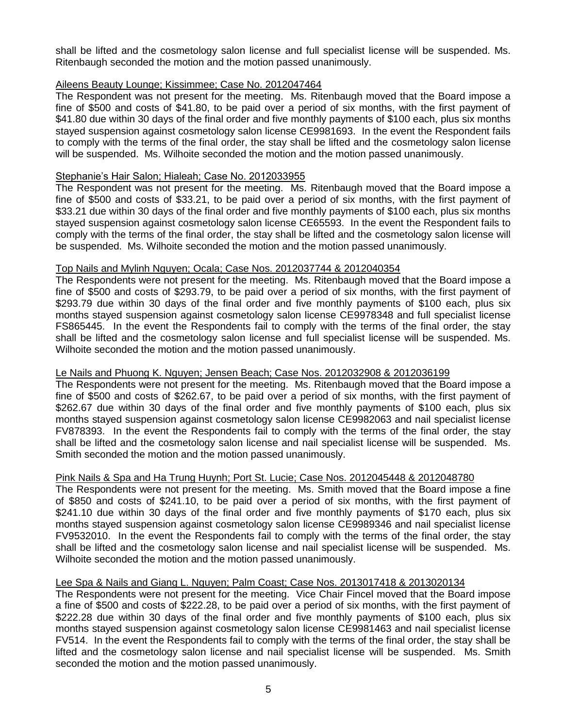shall be lifted and the cosmetology salon license and full specialist license will be suspended. Ms. Ritenbaugh seconded the motion and the motion passed unanimously.

#### Aileens Beauty Lounge; Kissimmee; Case No. 2012047464

The Respondent was not present for the meeting. Ms. Ritenbaugh moved that the Board impose a fine of \$500 and costs of \$41.80, to be paid over a period of six months, with the first payment of \$41.80 due within 30 days of the final order and five monthly payments of \$100 each, plus six months stayed suspension against cosmetology salon license CE9981693. In the event the Respondent fails to comply with the terms of the final order, the stay shall be lifted and the cosmetology salon license will be suspended. Ms. Wilhoite seconded the motion and the motion passed unanimously.

## Stephanie's Hair Salon; Hialeah; Case No. 2012033955

The Respondent was not present for the meeting. Ms. Ritenbaugh moved that the Board impose a fine of \$500 and costs of \$33.21, to be paid over a period of six months, with the first payment of \$33.21 due within 30 days of the final order and five monthly payments of \$100 each, plus six months stayed suspension against cosmetology salon license CE65593. In the event the Respondent fails to comply with the terms of the final order, the stay shall be lifted and the cosmetology salon license will be suspended. Ms. Wilhoite seconded the motion and the motion passed unanimously.

## Top Nails and Mylinh Nguyen; Ocala; Case Nos. 2012037744 & 2012040354

The Respondents were not present for the meeting. Ms. Ritenbaugh moved that the Board impose a fine of \$500 and costs of \$293.79, to be paid over a period of six months, with the first payment of \$293.79 due within 30 days of the final order and five monthly payments of \$100 each, plus six months stayed suspension against cosmetology salon license CE9978348 and full specialist license FS865445. In the event the Respondents fail to comply with the terms of the final order, the stay shall be lifted and the cosmetology salon license and full specialist license will be suspended. Ms. Wilhoite seconded the motion and the motion passed unanimously.

## Le Nails and Phuong K. Nguyen; Jensen Beach; Case Nos. 2012032908 & 2012036199

The Respondents were not present for the meeting. Ms. Ritenbaugh moved that the Board impose a fine of \$500 and costs of \$262.67, to be paid over a period of six months, with the first payment of \$262.67 due within 30 days of the final order and five monthly payments of \$100 each, plus six months stayed suspension against cosmetology salon license CE9982063 and nail specialist license FV878393. In the event the Respondents fail to comply with the terms of the final order, the stay shall be lifted and the cosmetology salon license and nail specialist license will be suspended. Ms. Smith seconded the motion and the motion passed unanimously.

## Pink Nails & Spa and Ha Trung Huynh; Port St. Lucie; Case Nos. 2012045448 & 2012048780

The Respondents were not present for the meeting. Ms. Smith moved that the Board impose a fine of \$850 and costs of \$241.10, to be paid over a period of six months, with the first payment of \$241.10 due within 30 days of the final order and five monthly payments of \$170 each, plus six months stayed suspension against cosmetology salon license CE9989346 and nail specialist license FV9532010. In the event the Respondents fail to comply with the terms of the final order, the stay shall be lifted and the cosmetology salon license and nail specialist license will be suspended. Ms. Wilhoite seconded the motion and the motion passed unanimously.

#### Lee Spa & Nails and Giang L. Nguyen; Palm Coast; Case Nos. 2013017418 & 2013020134

The Respondents were not present for the meeting. Vice Chair Fincel moved that the Board impose a fine of \$500 and costs of \$222.28, to be paid over a period of six months, with the first payment of \$222.28 due within 30 days of the final order and five monthly payments of \$100 each, plus six months stayed suspension against cosmetology salon license CE9981463 and nail specialist license FV514. In the event the Respondents fail to comply with the terms of the final order, the stay shall be lifted and the cosmetology salon license and nail specialist license will be suspended. Ms. Smith seconded the motion and the motion passed unanimously.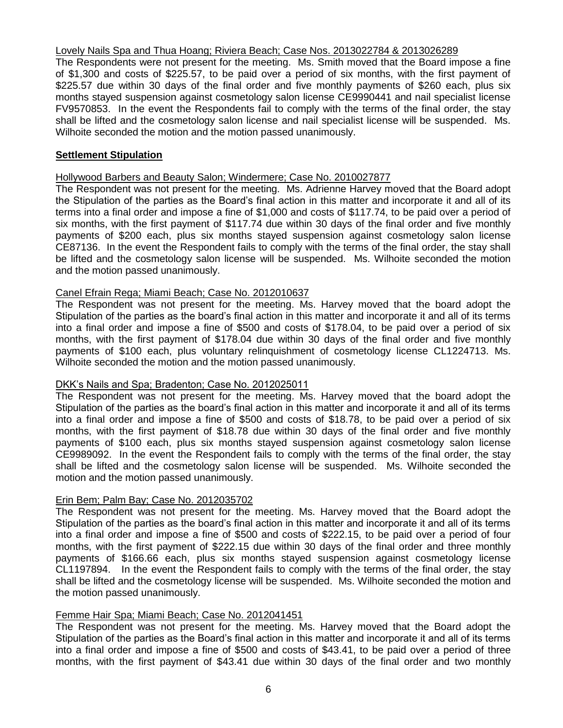## Lovely Nails Spa and Thua Hoang; Riviera Beach; Case Nos. 2013022784 & 2013026289

The Respondents were not present for the meeting. Ms. Smith moved that the Board impose a fine of \$1,300 and costs of \$225.57, to be paid over a period of six months, with the first payment of \$225.57 due within 30 days of the final order and five monthly payments of \$260 each, plus six months stayed suspension against cosmetology salon license CE9990441 and nail specialist license FV9570853. In the event the Respondents fail to comply with the terms of the final order, the stay shall be lifted and the cosmetology salon license and nail specialist license will be suspended. Ms. Wilhoite seconded the motion and the motion passed unanimously.

## **Settlement Stipulation**

### Hollywood Barbers and Beauty Salon; Windermere; Case No. 2010027877

The Respondent was not present for the meeting. Ms. Adrienne Harvey moved that the Board adopt the Stipulation of the parties as the Board's final action in this matter and incorporate it and all of its terms into a final order and impose a fine of \$1,000 and costs of \$117.74, to be paid over a period of six months, with the first payment of \$117.74 due within 30 days of the final order and five monthly payments of \$200 each, plus six months stayed suspension against cosmetology salon license CE87136. In the event the Respondent fails to comply with the terms of the final order, the stay shall be lifted and the cosmetology salon license will be suspended. Ms. Wilhoite seconded the motion and the motion passed unanimously.

## Canel Efrain Rega; Miami Beach; Case No. 2012010637

The Respondent was not present for the meeting. Ms. Harvey moved that the board adopt the Stipulation of the parties as the board's final action in this matter and incorporate it and all of its terms into a final order and impose a fine of \$500 and costs of \$178.04, to be paid over a period of six months, with the first payment of \$178.04 due within 30 days of the final order and five monthly payments of \$100 each, plus voluntary relinquishment of cosmetology license CL1224713. Ms. Wilhoite seconded the motion and the motion passed unanimously.

#### DKK's Nails and Spa; Bradenton; Case No. 2012025011

The Respondent was not present for the meeting. Ms. Harvey moved that the board adopt the Stipulation of the parties as the board's final action in this matter and incorporate it and all of its terms into a final order and impose a fine of \$500 and costs of \$18.78, to be paid over a period of six months, with the first payment of \$18.78 due within 30 days of the final order and five monthly payments of \$100 each, plus six months stayed suspension against cosmetology salon license CE9989092. In the event the Respondent fails to comply with the terms of the final order, the stay shall be lifted and the cosmetology salon license will be suspended. Ms. Wilhoite seconded the motion and the motion passed unanimously.

## Erin Bem; Palm Bay; Case No. 2012035702

The Respondent was not present for the meeting. Ms. Harvey moved that the Board adopt the Stipulation of the parties as the board's final action in this matter and incorporate it and all of its terms into a final order and impose a fine of \$500 and costs of \$222.15, to be paid over a period of four months, with the first payment of \$222.15 due within 30 days of the final order and three monthly payments of \$166.66 each, plus six months stayed suspension against cosmetology license CL1197894. In the event the Respondent fails to comply with the terms of the final order, the stay shall be lifted and the cosmetology license will be suspended. Ms. Wilhoite seconded the motion and the motion passed unanimously.

## Femme Hair Spa; Miami Beach; Case No. 2012041451

The Respondent was not present for the meeting. Ms. Harvey moved that the Board adopt the Stipulation of the parties as the Board's final action in this matter and incorporate it and all of its terms into a final order and impose a fine of \$500 and costs of \$43.41, to be paid over a period of three months, with the first payment of \$43.41 due within 30 days of the final order and two monthly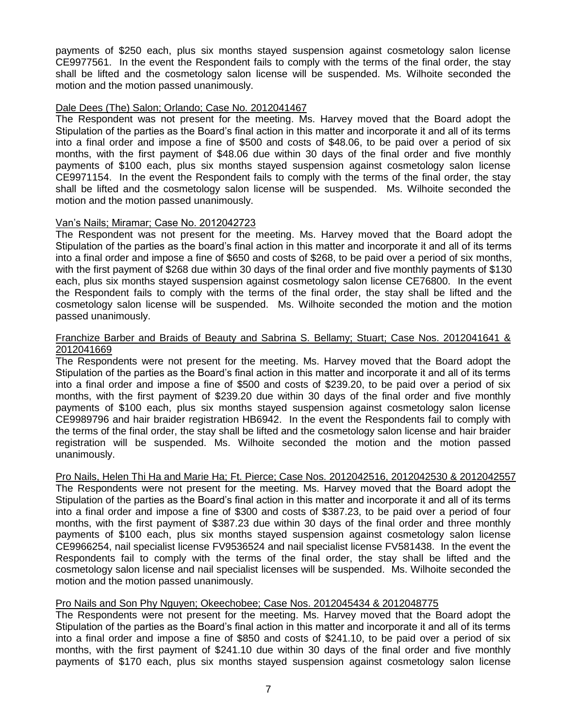payments of \$250 each, plus six months stayed suspension against cosmetology salon license CE9977561. In the event the Respondent fails to comply with the terms of the final order, the stay shall be lifted and the cosmetology salon license will be suspended. Ms. Wilhoite seconded the motion and the motion passed unanimously.

## Dale Dees (The) Salon; Orlando; Case No. 2012041467

The Respondent was not present for the meeting. Ms. Harvey moved that the Board adopt the Stipulation of the parties as the Board's final action in this matter and incorporate it and all of its terms into a final order and impose a fine of \$500 and costs of \$48.06, to be paid over a period of six months, with the first payment of \$48.06 due within 30 days of the final order and five monthly payments of \$100 each, plus six months stayed suspension against cosmetology salon license CE9971154. In the event the Respondent fails to comply with the terms of the final order, the stay shall be lifted and the cosmetology salon license will be suspended. Ms. Wilhoite seconded the motion and the motion passed unanimously.

## Van's Nails; Miramar; Case No. 2012042723

The Respondent was not present for the meeting. Ms. Harvey moved that the Board adopt the Stipulation of the parties as the board's final action in this matter and incorporate it and all of its terms into a final order and impose a fine of \$650 and costs of \$268, to be paid over a period of six months, with the first payment of \$268 due within 30 days of the final order and five monthly payments of \$130 each, plus six months stayed suspension against cosmetology salon license CE76800. In the event the Respondent fails to comply with the terms of the final order, the stay shall be lifted and the cosmetology salon license will be suspended. Ms. Wilhoite seconded the motion and the motion passed unanimously.

#### Franchize Barber and Braids of Beauty and Sabrina S. Bellamy; Stuart; Case Nos. 2012041641 & 2012041669

The Respondents were not present for the meeting. Ms. Harvey moved that the Board adopt the Stipulation of the parties as the Board's final action in this matter and incorporate it and all of its terms into a final order and impose a fine of \$500 and costs of \$239.20, to be paid over a period of six months, with the first payment of \$239.20 due within 30 days of the final order and five monthly payments of \$100 each, plus six months stayed suspension against cosmetology salon license CE9989796 and hair braider registration HB6942. In the event the Respondents fail to comply with the terms of the final order, the stay shall be lifted and the cosmetology salon license and hair braider registration will be suspended. Ms. Wilhoite seconded the motion and the motion passed unanimously.

#### Pro Nails, Helen Thi Ha and Marie Ha; Ft. Pierce; Case Nos. 2012042516, 2012042530 & 2012042557

The Respondents were not present for the meeting. Ms. Harvey moved that the Board adopt the Stipulation of the parties as the Board's final action in this matter and incorporate it and all of its terms into a final order and impose a fine of \$300 and costs of \$387.23, to be paid over a period of four months, with the first payment of \$387.23 due within 30 days of the final order and three monthly payments of \$100 each, plus six months stayed suspension against cosmetology salon license CE9966254, nail specialist license FV9536524 and nail specialist license FV581438. In the event the Respondents fail to comply with the terms of the final order, the stay shall be lifted and the cosmetology salon license and nail specialist licenses will be suspended. Ms. Wilhoite seconded the motion and the motion passed unanimously.

## Pro Nails and Son Phy Nguyen; Okeechobee; Case Nos. 2012045434 & 2012048775

The Respondents were not present for the meeting. Ms. Harvey moved that the Board adopt the Stipulation of the parties as the Board's final action in this matter and incorporate it and all of its terms into a final order and impose a fine of \$850 and costs of \$241.10, to be paid over a period of six months, with the first payment of \$241.10 due within 30 days of the final order and five monthly payments of \$170 each, plus six months stayed suspension against cosmetology salon license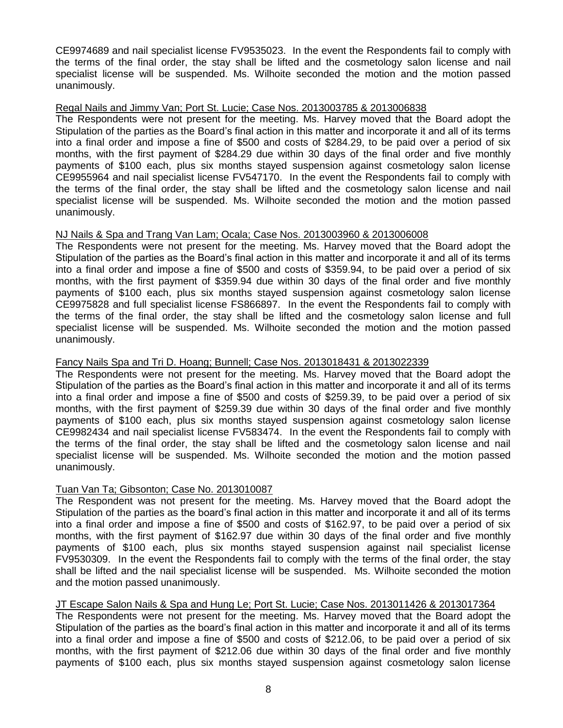CE9974689 and nail specialist license FV9535023. In the event the Respondents fail to comply with the terms of the final order, the stay shall be lifted and the cosmetology salon license and nail specialist license will be suspended. Ms. Wilhoite seconded the motion and the motion passed unanimously.

## Regal Nails and Jimmy Van; Port St. Lucie; Case Nos. 2013003785 & 2013006838

The Respondents were not present for the meeting. Ms. Harvey moved that the Board adopt the Stipulation of the parties as the Board's final action in this matter and incorporate it and all of its terms into a final order and impose a fine of \$500 and costs of \$284.29, to be paid over a period of six months, with the first payment of \$284.29 due within 30 days of the final order and five monthly payments of \$100 each, plus six months stayed suspension against cosmetology salon license CE9955964 and nail specialist license FV547170. In the event the Respondents fail to comply with the terms of the final order, the stay shall be lifted and the cosmetology salon license and nail specialist license will be suspended. Ms. Wilhoite seconded the motion and the motion passed unanimously.

## NJ Nails & Spa and Trang Van Lam; Ocala; Case Nos. 2013003960 & 2013006008

The Respondents were not present for the meeting. Ms. Harvey moved that the Board adopt the Stipulation of the parties as the Board's final action in this matter and incorporate it and all of its terms into a final order and impose a fine of \$500 and costs of \$359.94, to be paid over a period of six months, with the first payment of \$359.94 due within 30 days of the final order and five monthly payments of \$100 each, plus six months stayed suspension against cosmetology salon license CE9975828 and full specialist license FS866897. In the event the Respondents fail to comply with the terms of the final order, the stay shall be lifted and the cosmetology salon license and full specialist license will be suspended. Ms. Wilhoite seconded the motion and the motion passed unanimously.

## Fancy Nails Spa and Tri D. Hoang; Bunnell; Case Nos. 2013018431 & 2013022339

The Respondents were not present for the meeting. Ms. Harvey moved that the Board adopt the Stipulation of the parties as the Board's final action in this matter and incorporate it and all of its terms into a final order and impose a fine of \$500 and costs of \$259.39, to be paid over a period of six months, with the first payment of \$259.39 due within 30 days of the final order and five monthly payments of \$100 each, plus six months stayed suspension against cosmetology salon license CE9982434 and nail specialist license FV583474. In the event the Respondents fail to comply with the terms of the final order, the stay shall be lifted and the cosmetology salon license and nail specialist license will be suspended. Ms. Wilhoite seconded the motion and the motion passed unanimously.

## Tuan Van Ta; Gibsonton; Case No. 2013010087

The Respondent was not present for the meeting. Ms. Harvey moved that the Board adopt the Stipulation of the parties as the board's final action in this matter and incorporate it and all of its terms into a final order and impose a fine of \$500 and costs of \$162.97, to be paid over a period of six months, with the first payment of \$162.97 due within 30 days of the final order and five monthly payments of \$100 each, plus six months stayed suspension against nail specialist license FV9530309. In the event the Respondents fail to comply with the terms of the final order, the stay shall be lifted and the nail specialist license will be suspended. Ms. Wilhoite seconded the motion and the motion passed unanimously.

## JT Escape Salon Nails & Spa and Hung Le; Port St. Lucie; Case Nos. 2013011426 & 2013017364

The Respondents were not present for the meeting. Ms. Harvey moved that the Board adopt the Stipulation of the parties as the board's final action in this matter and incorporate it and all of its terms into a final order and impose a fine of \$500 and costs of \$212.06, to be paid over a period of six months, with the first payment of \$212.06 due within 30 days of the final order and five monthly payments of \$100 each, plus six months stayed suspension against cosmetology salon license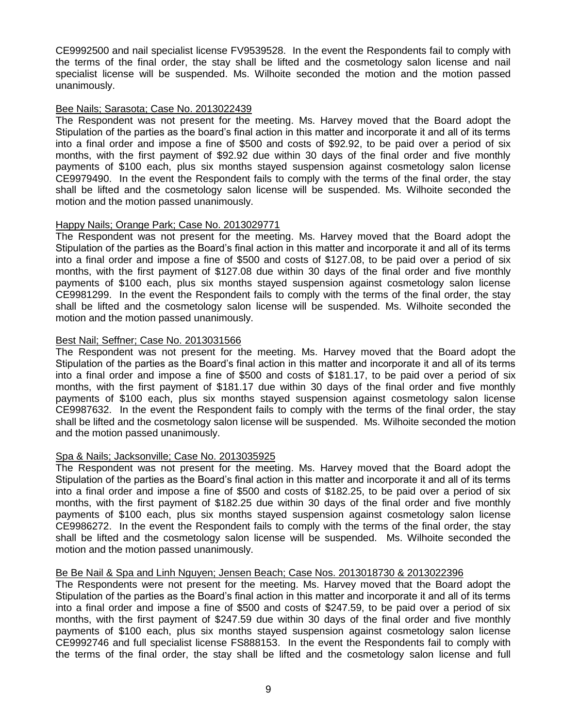CE9992500 and nail specialist license FV9539528. In the event the Respondents fail to comply with the terms of the final order, the stay shall be lifted and the cosmetology salon license and nail specialist license will be suspended. Ms. Wilhoite seconded the motion and the motion passed unanimously.

#### Bee Nails; Sarasota; Case No. 2013022439

The Respondent was not present for the meeting. Ms. Harvey moved that the Board adopt the Stipulation of the parties as the board's final action in this matter and incorporate it and all of its terms into a final order and impose a fine of \$500 and costs of \$92.92, to be paid over a period of six months, with the first payment of \$92.92 due within 30 days of the final order and five monthly payments of \$100 each, plus six months stayed suspension against cosmetology salon license CE9979490. In the event the Respondent fails to comply with the terms of the final order, the stay shall be lifted and the cosmetology salon license will be suspended. Ms. Wilhoite seconded the motion and the motion passed unanimously.

## Happy Nails; Orange Park; Case No. 2013029771

The Respondent was not present for the meeting. Ms. Harvey moved that the Board adopt the Stipulation of the parties as the Board's final action in this matter and incorporate it and all of its terms into a final order and impose a fine of \$500 and costs of \$127.08, to be paid over a period of six months, with the first payment of \$127.08 due within 30 days of the final order and five monthly payments of \$100 each, plus six months stayed suspension against cosmetology salon license CE9981299. In the event the Respondent fails to comply with the terms of the final order, the stay shall be lifted and the cosmetology salon license will be suspended. Ms. Wilhoite seconded the motion and the motion passed unanimously.

## Best Nail; Seffner; Case No. 2013031566

The Respondent was not present for the meeting. Ms. Harvey moved that the Board adopt the Stipulation of the parties as the Board's final action in this matter and incorporate it and all of its terms into a final order and impose a fine of \$500 and costs of \$181.17, to be paid over a period of six months, with the first payment of \$181.17 due within 30 days of the final order and five monthly payments of \$100 each, plus six months stayed suspension against cosmetology salon license CE9987632. In the event the Respondent fails to comply with the terms of the final order, the stay shall be lifted and the cosmetology salon license will be suspended. Ms. Wilhoite seconded the motion and the motion passed unanimously.

## Spa & Nails; Jacksonville; Case No. 2013035925

The Respondent was not present for the meeting. Ms. Harvey moved that the Board adopt the Stipulation of the parties as the Board's final action in this matter and incorporate it and all of its terms into a final order and impose a fine of \$500 and costs of \$182.25, to be paid over a period of six months, with the first payment of \$182.25 due within 30 days of the final order and five monthly payments of \$100 each, plus six months stayed suspension against cosmetology salon license CE9986272. In the event the Respondent fails to comply with the terms of the final order, the stay shall be lifted and the cosmetology salon license will be suspended. Ms. Wilhoite seconded the motion and the motion passed unanimously.

### Be Be Nail & Spa and Linh Nguyen; Jensen Beach; Case Nos. 2013018730 & 2013022396

The Respondents were not present for the meeting. Ms. Harvey moved that the Board adopt the Stipulation of the parties as the Board's final action in this matter and incorporate it and all of its terms into a final order and impose a fine of \$500 and costs of \$247.59, to be paid over a period of six months, with the first payment of \$247.59 due within 30 days of the final order and five monthly payments of \$100 each, plus six months stayed suspension against cosmetology salon license CE9992746 and full specialist license FS888153. In the event the Respondents fail to comply with the terms of the final order, the stay shall be lifted and the cosmetology salon license and full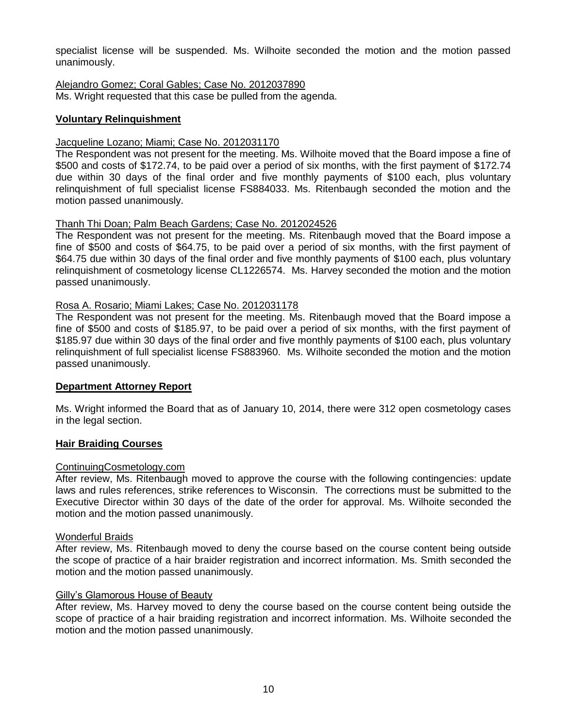specialist license will be suspended. Ms. Wilhoite seconded the motion and the motion passed unanimously.

Alejandro Gomez; Coral Gables; Case No. 2012037890 Ms. Wright requested that this case be pulled from the agenda.

## **Voluntary Relinquishment**

#### Jacqueline Lozano; Miami; Case No. 2012031170

The Respondent was not present for the meeting. Ms. Wilhoite moved that the Board impose a fine of \$500 and costs of \$172.74, to be paid over a period of six months, with the first payment of \$172.74 due within 30 days of the final order and five monthly payments of \$100 each, plus voluntary relinquishment of full specialist license FS884033. Ms. Ritenbaugh seconded the motion and the motion passed unanimously.

#### Thanh Thi Doan; Palm Beach Gardens; Case No. 2012024526

The Respondent was not present for the meeting. Ms. Ritenbaugh moved that the Board impose a fine of \$500 and costs of \$64.75, to be paid over a period of six months, with the first payment of \$64.75 due within 30 days of the final order and five monthly payments of \$100 each, plus voluntary relinquishment of cosmetology license CL1226574. Ms. Harvey seconded the motion and the motion passed unanimously.

#### Rosa A. Rosario; Miami Lakes; Case No. 2012031178

The Respondent was not present for the meeting. Ms. Ritenbaugh moved that the Board impose a fine of \$500 and costs of \$185.97, to be paid over a period of six months, with the first payment of \$185.97 due within 30 days of the final order and five monthly payments of \$100 each, plus voluntary relinquishment of full specialist license FS883960. Ms. Wilhoite seconded the motion and the motion passed unanimously.

#### **Department Attorney Report**

Ms. Wright informed the Board that as of January 10, 2014, there were 312 open cosmetology cases in the legal section.

#### **Hair Braiding Courses**

#### ContinuingCosmetology.com

After review, Ms. Ritenbaugh moved to approve the course with the following contingencies: update laws and rules references, strike references to Wisconsin. The corrections must be submitted to the Executive Director within 30 days of the date of the order for approval. Ms. Wilhoite seconded the motion and the motion passed unanimously.

#### Wonderful Braids

After review, Ms. Ritenbaugh moved to deny the course based on the course content being outside the scope of practice of a hair braider registration and incorrect information. Ms. Smith seconded the motion and the motion passed unanimously.

#### Gilly's Glamorous House of Beauty

After review, Ms. Harvey moved to deny the course based on the course content being outside the scope of practice of a hair braiding registration and incorrect information. Ms. Wilhoite seconded the motion and the motion passed unanimously.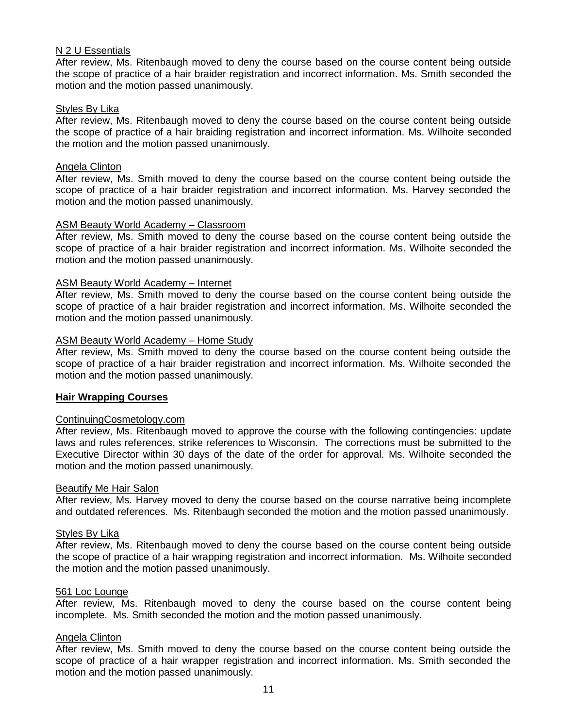#### N 2 U Essentials

After review, Ms. Ritenbaugh moved to deny the course based on the course content being outside the scope of practice of a hair braider registration and incorrect information. Ms. Smith seconded the motion and the motion passed unanimously.

#### Styles By Lika

After review, Ms. Ritenbaugh moved to deny the course based on the course content being outside the scope of practice of a hair braiding registration and incorrect information. Ms. Wilhoite seconded the motion and the motion passed unanimously.

## Angela Clinton

After review, Ms. Smith moved to deny the course based on the course content being outside the scope of practice of a hair braider registration and incorrect information. Ms. Harvey seconded the motion and the motion passed unanimously.

#### ASM Beauty World Academy – Classroom

After review, Ms. Smith moved to deny the course based on the course content being outside the scope of practice of a hair braider registration and incorrect information. Ms. Wilhoite seconded the motion and the motion passed unanimously.

## ASM Beauty World Academy – Internet

After review, Ms. Smith moved to deny the course based on the course content being outside the scope of practice of a hair braider registration and incorrect information. Ms. Wilhoite seconded the motion and the motion passed unanimously.

## ASM Beauty World Academy – Home Study

After review, Ms. Smith moved to deny the course based on the course content being outside the scope of practice of a hair braider registration and incorrect information. Ms. Wilhoite seconded the motion and the motion passed unanimously.

## **Hair Wrapping Courses**

#### ContinuingCosmetology.com

After review, Ms. Ritenbaugh moved to approve the course with the following contingencies: update laws and rules references, strike references to Wisconsin. The corrections must be submitted to the Executive Director within 30 days of the date of the order for approval. Ms. Wilhoite seconded the motion and the motion passed unanimously.

#### Beautify Me Hair Salon

After review, Ms. Harvey moved to deny the course based on the course narrative being incomplete and outdated references. Ms. Ritenbaugh seconded the motion and the motion passed unanimously.

#### Styles By Lika

After review, Ms. Ritenbaugh moved to deny the course based on the course content being outside the scope of practice of a hair wrapping registration and incorrect information. Ms. Wilhoite seconded the motion and the motion passed unanimously.

#### 561 Loc Lounge

After review, Ms. Ritenbaugh moved to deny the course based on the course content being incomplete. Ms. Smith seconded the motion and the motion passed unanimously.

#### Angela Clinton

After review, Ms. Smith moved to deny the course based on the course content being outside the scope of practice of a hair wrapper registration and incorrect information. Ms. Smith seconded the motion and the motion passed unanimously.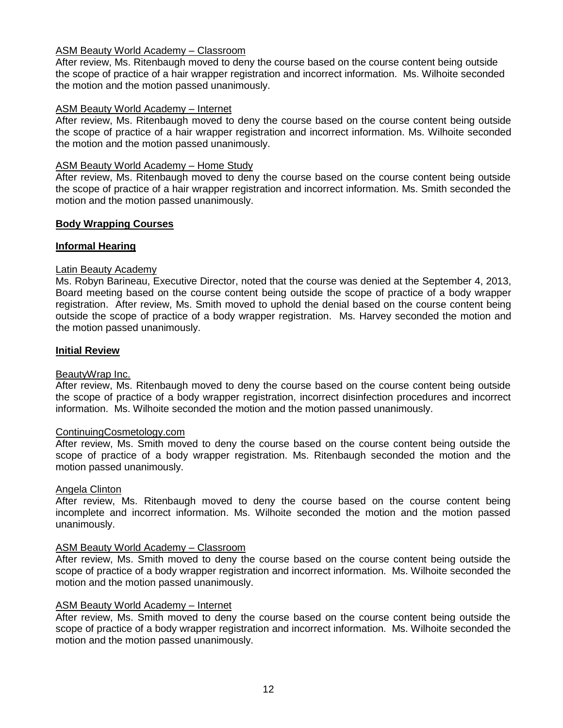## ASM Beauty World Academy – Classroom

After review, Ms. Ritenbaugh moved to deny the course based on the course content being outside the scope of practice of a hair wrapper registration and incorrect information. Ms. Wilhoite seconded the motion and the motion passed unanimously.

## ASM Beauty World Academy – Internet

After review, Ms. Ritenbaugh moved to deny the course based on the course content being outside the scope of practice of a hair wrapper registration and incorrect information. Ms. Wilhoite seconded the motion and the motion passed unanimously.

## ASM Beauty World Academy – Home Study

After review, Ms. Ritenbaugh moved to deny the course based on the course content being outside the scope of practice of a hair wrapper registration and incorrect information. Ms. Smith seconded the motion and the motion passed unanimously.

## **Body Wrapping Courses**

## **Informal Hearing**

## Latin Beauty Academy

Ms. Robyn Barineau, Executive Director, noted that the course was denied at the September 4, 2013, Board meeting based on the course content being outside the scope of practice of a body wrapper registration. After review, Ms. Smith moved to uphold the denial based on the course content being outside the scope of practice of a body wrapper registration. Ms. Harvey seconded the motion and the motion passed unanimously.

## **Initial Review**

#### BeautyWrap Inc.

After review, Ms. Ritenbaugh moved to deny the course based on the course content being outside the scope of practice of a body wrapper registration, incorrect disinfection procedures and incorrect information. Ms. Wilhoite seconded the motion and the motion passed unanimously.

#### ContinuingCosmetology.com

After review, Ms. Smith moved to deny the course based on the course content being outside the scope of practice of a body wrapper registration. Ms. Ritenbaugh seconded the motion and the motion passed unanimously.

#### Angela Clinton

After review, Ms. Ritenbaugh moved to deny the course based on the course content being incomplete and incorrect information. Ms. Wilhoite seconded the motion and the motion passed unanimously.

#### ASM Beauty World Academy – Classroom

After review, Ms. Smith moved to deny the course based on the course content being outside the scope of practice of a body wrapper registration and incorrect information. Ms. Wilhoite seconded the motion and the motion passed unanimously.

#### ASM Beauty World Academy – Internet

After review, Ms. Smith moved to deny the course based on the course content being outside the scope of practice of a body wrapper registration and incorrect information. Ms. Wilhoite seconded the motion and the motion passed unanimously.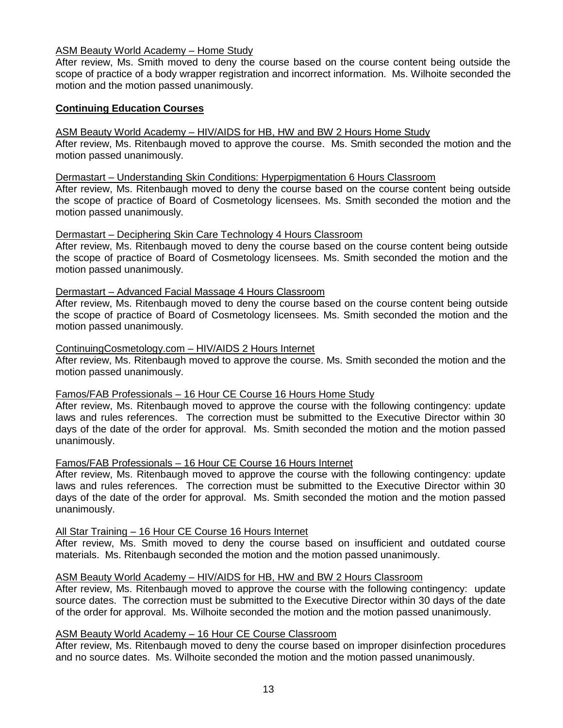## ASM Beauty World Academy – Home Study

After review, Ms. Smith moved to deny the course based on the course content being outside the scope of practice of a body wrapper registration and incorrect information. Ms. Wilhoite seconded the motion and the motion passed unanimously.

## **Continuing Education Courses**

#### ASM Beauty World Academy – HIV/AIDS for HB, HW and BW 2 Hours Home Study

After review, Ms. Ritenbaugh moved to approve the course. Ms. Smith seconded the motion and the motion passed unanimously.

#### Dermastart – Understanding Skin Conditions: Hyperpigmentation 6 Hours Classroom

After review, Ms. Ritenbaugh moved to deny the course based on the course content being outside the scope of practice of Board of Cosmetology licensees. Ms. Smith seconded the motion and the motion passed unanimously.

#### Dermastart – Deciphering Skin Care Technology 4 Hours Classroom

After review, Ms. Ritenbaugh moved to deny the course based on the course content being outside the scope of practice of Board of Cosmetology licensees. Ms. Smith seconded the motion and the motion passed unanimously.

#### Dermastart – Advanced Facial Massage 4 Hours Classroom

After review, Ms. Ritenbaugh moved to deny the course based on the course content being outside the scope of practice of Board of Cosmetology licensees. Ms. Smith seconded the motion and the motion passed unanimously.

#### ContinuingCosmetology.com – HIV/AIDS 2 Hours Internet

After review, Ms. Ritenbaugh moved to approve the course. Ms. Smith seconded the motion and the motion passed unanimously.

#### Famos/FAB Professionals – 16 Hour CE Course 16 Hours Home Study

After review, Ms. Ritenbaugh moved to approve the course with the following contingency: update laws and rules references. The correction must be submitted to the Executive Director within 30 days of the date of the order for approval. Ms. Smith seconded the motion and the motion passed unanimously.

#### Famos/FAB Professionals – 16 Hour CE Course 16 Hours Internet

After review, Ms. Ritenbaugh moved to approve the course with the following contingency: update laws and rules references. The correction must be submitted to the Executive Director within 30 days of the date of the order for approval. Ms. Smith seconded the motion and the motion passed unanimously.

#### All Star Training – 16 Hour CE Course 16 Hours Internet

After review, Ms. Smith moved to deny the course based on insufficient and outdated course materials. Ms. Ritenbaugh seconded the motion and the motion passed unanimously.

## ASM Beauty World Academy – HIV/AIDS for HB, HW and BW 2 Hours Classroom

After review, Ms. Ritenbaugh moved to approve the course with the following contingency: update source dates. The correction must be submitted to the Executive Director within 30 days of the date of the order for approval. Ms. Wilhoite seconded the motion and the motion passed unanimously.

## ASM Beauty World Academy – 16 Hour CE Course Classroom

After review, Ms. Ritenbaugh moved to deny the course based on improper disinfection procedures and no source dates. Ms. Wilhoite seconded the motion and the motion passed unanimously.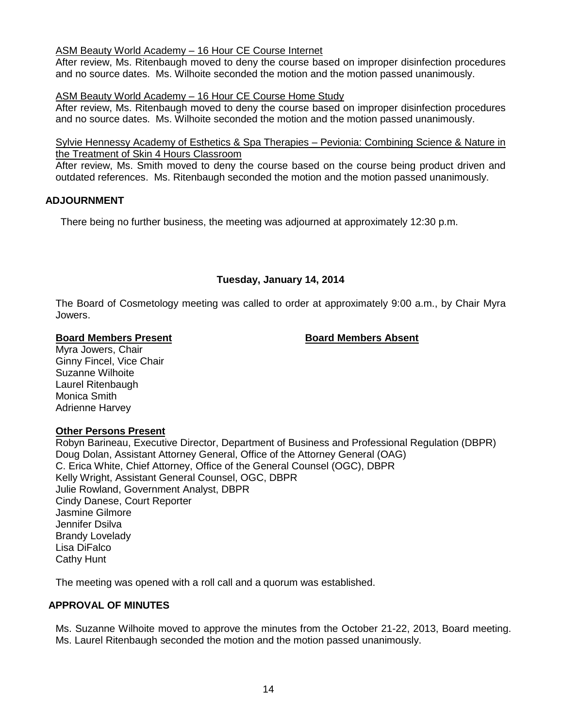### ASM Beauty World Academy – 16 Hour CE Course Internet

After review, Ms. Ritenbaugh moved to deny the course based on improper disinfection procedures and no source dates. Ms. Wilhoite seconded the motion and the motion passed unanimously.

## ASM Beauty World Academy – 16 Hour CE Course Home Study

After review, Ms. Ritenbaugh moved to deny the course based on improper disinfection procedures and no source dates. Ms. Wilhoite seconded the motion and the motion passed unanimously.

#### Sylvie Hennessy Academy of Esthetics & Spa Therapies – Pevionia: Combining Science & Nature in the Treatment of Skin 4 Hours Classroom

After review, Ms. Smith moved to deny the course based on the course being product driven and outdated references. Ms. Ritenbaugh seconded the motion and the motion passed unanimously.

## **ADJOURNMENT**

There being no further business, the meeting was adjourned at approximately 12:30 p.m.

## **Tuesday, January 14, 2014**

The Board of Cosmetology meeting was called to order at approximately 9:00 a.m., by Chair Myra Jowers.

## **Board Members Present Board Members Absent**

Myra Jowers, Chair Ginny Fincel, Vice Chair Suzanne Wilhoite Laurel Ritenbaugh Monica Smith Adrienne Harvey

## **Other Persons Present**

Robyn Barineau, Executive Director, Department of Business and Professional Regulation (DBPR) Doug Dolan, Assistant Attorney General, Office of the Attorney General (OAG) C. Erica White, Chief Attorney, Office of the General Counsel (OGC), DBPR Kelly Wright, Assistant General Counsel, OGC, DBPR Julie Rowland, Government Analyst, DBPR Cindy Danese, Court Reporter Jasmine Gilmore Jennifer Dsilva Brandy Lovelady Lisa DiFalco Cathy Hunt

The meeting was opened with a roll call and a quorum was established.

## **APPROVAL OF MINUTES**

Ms. Suzanne Wilhoite moved to approve the minutes from the October 21-22, 2013, Board meeting. Ms. Laurel Ritenbaugh seconded the motion and the motion passed unanimously.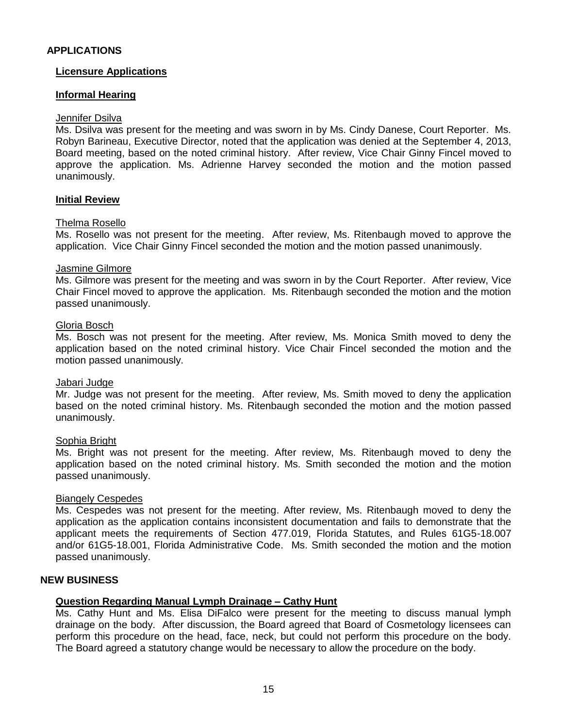## **APPLICATIONS**

### **Licensure Applications**

## **Informal Hearing**

#### Jennifer Dsilva

Ms. Dsilva was present for the meeting and was sworn in by Ms. Cindy Danese, Court Reporter. Ms. Robyn Barineau, Executive Director, noted that the application was denied at the September 4, 2013, Board meeting, based on the noted criminal history. After review, Vice Chair Ginny Fincel moved to approve the application. Ms. Adrienne Harvey seconded the motion and the motion passed unanimously.

#### **Initial Review**

#### Thelma Rosello

Ms. Rosello was not present for the meeting. After review, Ms. Ritenbaugh moved to approve the application. Vice Chair Ginny Fincel seconded the motion and the motion passed unanimously.

#### Jasmine Gilmore

Ms. Gilmore was present for the meeting and was sworn in by the Court Reporter. After review, Vice Chair Fincel moved to approve the application. Ms. Ritenbaugh seconded the motion and the motion passed unanimously.

#### Gloria Bosch

Ms. Bosch was not present for the meeting. After review, Ms. Monica Smith moved to deny the application based on the noted criminal history. Vice Chair Fincel seconded the motion and the motion passed unanimously.

#### Jabari Judge

Mr. Judge was not present for the meeting. After review, Ms. Smith moved to deny the application based on the noted criminal history. Ms. Ritenbaugh seconded the motion and the motion passed unanimously.

#### Sophia Bright

Ms. Bright was not present for the meeting. After review, Ms. Ritenbaugh moved to deny the application based on the noted criminal history. Ms. Smith seconded the motion and the motion passed unanimously.

#### Biangely Cespedes

Ms. Cespedes was not present for the meeting. After review, Ms. Ritenbaugh moved to deny the application as the application contains inconsistent documentation and fails to demonstrate that the applicant meets the requirements of Section 477.019, Florida Statutes, and Rules 61G5-18.007 and/or 61G5-18.001, Florida Administrative Code. Ms. Smith seconded the motion and the motion passed unanimously.

#### **NEW BUSINESS**

#### **Question Regarding Manual Lymph Drainage – Cathy Hunt**

Ms. Cathy Hunt and Ms. Elisa DiFalco were present for the meeting to discuss manual lymph drainage on the body. After discussion, the Board agreed that Board of Cosmetology licensees can perform this procedure on the head, face, neck, but could not perform this procedure on the body. The Board agreed a statutory change would be necessary to allow the procedure on the body.